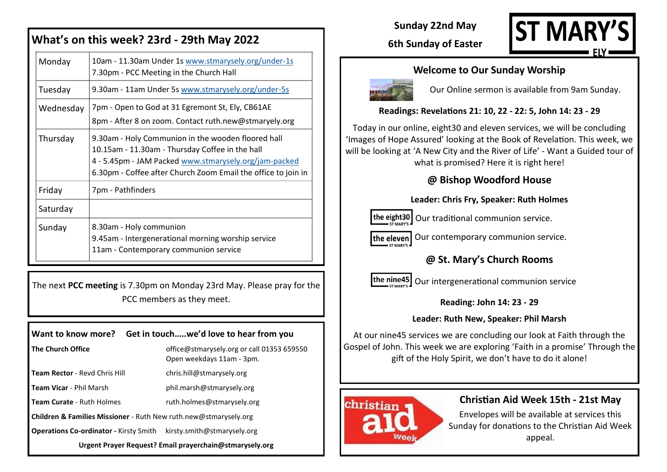| What's on this week? 23rd - 29th May 2022 |                                                                                                                                                                                                                                 |  |
|-------------------------------------------|---------------------------------------------------------------------------------------------------------------------------------------------------------------------------------------------------------------------------------|--|
| Monday                                    | 10am - 11.30am Under 1s www.stmarysely.org/under-1s<br>7.30pm - PCC Meeting in the Church Hall                                                                                                                                  |  |
| Tuesday                                   | 9.30am - 11am Under 5s www.stmarysely.org/under-5s                                                                                                                                                                              |  |
| Wednesday                                 | 7pm - Open to God at 31 Egremont St, Ely, CB61AE<br>8pm - After 8 on zoom. Contact ruth.new@stmaryely.org                                                                                                                       |  |
| Thursday                                  | 9.30am - Holy Communion in the wooden floored hall<br>10.15am - 11.30am - Thursday Coffee in the hall<br>4 - 5.45pm - JAM Packed www.stmarysely.org/jam-packed<br>6.30pm - Coffee after Church Zoom Email the office to join in |  |
| Friday                                    | 7pm - Pathfinders                                                                                                                                                                                                               |  |
| Saturday                                  |                                                                                                                                                                                                                                 |  |
| Sunday                                    | 8.30am - Holy communion<br>9.45am - Intergenerational morning worship service<br>11am - Contemporary communion service                                                                                                          |  |

The next **PCC meeting** is 7.30pm on Monday 23rd May. Please pray for the PCC members as they meet.

| Want to know more? Get in touchwe'd love to hear from you        |                                                                         |  |  |
|------------------------------------------------------------------|-------------------------------------------------------------------------|--|--|
| <b>The Church Office</b>                                         | office@stmarysely.org or call 01353 659550<br>Open weekdays 11am - 3pm. |  |  |
| <b>Team Rector - Revd Chris Hill</b>                             | chris.hill@stmarysely.org                                               |  |  |
| <b>Team Vicar - Phil Marsh</b>                                   | phil.marsh@stmarysely.org                                               |  |  |
| <b>Team Curate - Ruth Holmes</b>                                 | ruth.holmes@stmarysely.org                                              |  |  |
| Children & Families Missioner - Ruth New ruth.new@stmarysely.org |                                                                         |  |  |
| <b>Operations Co-ordinator - Kirsty Smith</b>                    | kirsty.smith@stmarysely.org                                             |  |  |
| Urgent Prayer Request? Email prayerchain@stmarysely.org          |                                                                         |  |  |

**Sunday 22nd May**



## **6th Sunday of Easter**

### **Welcome to Our Sunday Worship**



Our Online sermon is available from 9am Sunday.

### **Readings: Revelations 21: 10, 22 - 22: 5, John 14: 23 - 29**

Today in our online, eight30 and eleven services, we will be concluding 'Images of Hope Assured' looking at the Book of Revelation. This week, we will be looking at 'A New City and the River of Life' - Want a Guided tour of

what is promised? Here it is right here!

## **@ Bishop Woodford House**

#### **Leader: Chris Fry, Speaker: Ruth Holmes**

 $\frac{1}{2}$  the eight30 | Our traditional communion service.

the eleven Our contemporary communion service.

## **@ St. Mary's Church Rooms**



 $\left| \right|$  the nine45  $\left| \right|$  Our intergenerational communion service

### **Reading: John 14: 23 - 29**

#### **Leader: Ruth New, Speaker: Phil Marsh**

At our nine45 services we are concluding our look at Faith through the Gospel of John. This week we are exploring 'Faith in a promise' Through the gift of the Holy Spirit, we don't have to do it alone!



## **Christian Aid Week 15th - 21st May**

Envelopes will be available at services this Sunday for donations to the Christian Aid Week appeal.